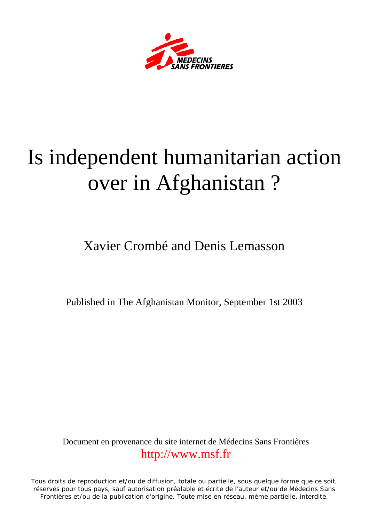

## Is independent humanitarian action over in Afghanistan ?

Xavier Crombé and Denis Lemasson

Published in The Afghanistan Monitor, September 1st 2003

Document en provenance du site internet de Médecins Sans Frontières [http://www.msf.fr](http://www.msf.fr/)

Tous droits de reproduction et/ou de diffusion, totale ou partielle, sous quelque forme que ce soit, réservés pour tous pays, sauf autorisation préalable et écrite de l'auteur et/ou de Médecins Sans Frontières et/ou de la publication d'origine. Toute mise en réseau, même partielle, interdite.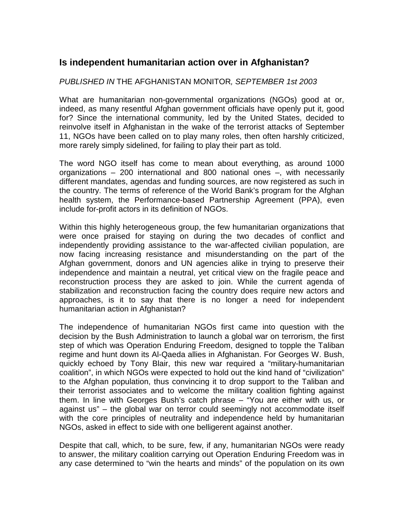## **Is independent humanitarian action over in Afghanistan?**

## *PUBLISHED IN* THE AFGHANISTAN MONITOR*, SEPTEMBER 1st 2003*

What are humanitarian non-governmental organizations (NGOs) good at or, indeed, as many resentful Afghan government officials have openly put it, good for? Since the international community, led by the United States, decided to reinvolve itself in Afghanistan in the wake of the terrorist attacks of September 11, NGOs have been called on to play many roles, then often harshly criticized, more rarely simply sidelined, for failing to play their part as told.

The word NGO itself has come to mean about everything, as around 1000 organizations – 200 international and 800 national ones –, with necessarily different mandates, agendas and funding sources, are now registered as such in the country. The terms of reference of the World Bank's program for the Afghan health system, the Performance-based Partnership Agreement (PPA), even include for-profit actors in its definition of NGOs.

Within this highly heterogeneous group, the few humanitarian organizations that were once praised for staying on during the two decades of conflict and independently providing assistance to the war-affected civilian population, are now facing increasing resistance and misunderstanding on the part of the Afghan government, donors and UN agencies alike in trying to preserve their independence and maintain a neutral, yet critical view on the fragile peace and reconstruction process they are asked to join. While the current agenda of stabilization and reconstruction facing the country does require new actors and approaches, is it to say that there is no longer a need for independent humanitarian action in Afghanistan?

The independence of humanitarian NGOs first came into question with the decision by the Bush Administration to launch a global war on terrorism, the first step of which was Operation Enduring Freedom, designed to topple the Taliban regime and hunt down its Al-Qaeda allies in Afghanistan. For Georges W. Bush, quickly echoed by Tony Blair, this new war required a "military-humanitarian coalition", in which NGOs were expected to hold out the kind hand of "civilization" to the Afghan population, thus convincing it to drop support to the Taliban and their terrorist associates and to welcome the military coalition fighting against them. In line with Georges Bush's catch phrase – "You are either with us, or against us" – the global war on terror could seemingly not accommodate itself with the core principles of neutrality and independence held by humanitarian NGOs, asked in effect to side with one belligerent against another.

Despite that call, which, to be sure, few, if any, humanitarian NGOs were ready to answer, the military coalition carrying out Operation Enduring Freedom was in any case determined to "win the hearts and minds" of the population on its own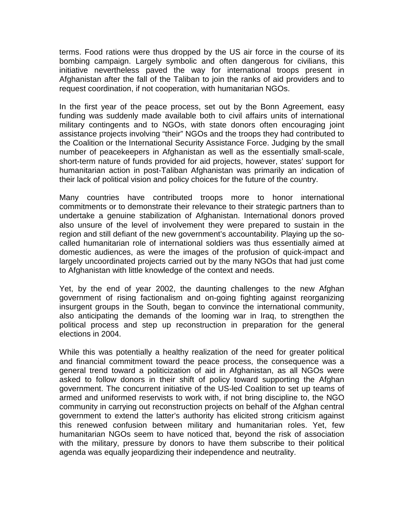terms. Food rations were thus dropped by the US air force in the course of its bombing campaign. Largely symbolic and often dangerous for civilians, this initiative nevertheless paved the way for international troops present in Afghanistan after the fall of the Taliban to join the ranks of aid providers and to request coordination, if not cooperation, with humanitarian NGOs.

In the first year of the peace process, set out by the Bonn Agreement, easy funding was suddenly made available both to civil affairs units of international military contingents and to NGOs, with state donors often encouraging joint assistance projects involving "their" NGOs and the troops they had contributed to the Coalition or the International Security Assistance Force. Judging by the small number of peacekeepers in Afghanistan as well as the essentially small-scale, short-term nature of funds provided for aid projects, however, states' support for humanitarian action in post-Taliban Afghanistan was primarily an indication of their lack of political vision and policy choices for the future of the country.

Many countries have contributed troops more to honor international commitments or to demonstrate their relevance to their strategic partners than to undertake a genuine stabilization of Afghanistan. International donors proved also unsure of the level of involvement they were prepared to sustain in the region and still defiant of the new government's accountability. Playing up the socalled humanitarian role of international soldiers was thus essentially aimed at domestic audiences, as were the images of the profusion of quick-impact and largely uncoordinated projects carried out by the many NGOs that had just come to Afghanistan with little knowledge of the context and needs.

Yet, by the end of year 2002, the daunting challenges to the new Afghan government of rising factionalism and on-going fighting against reorganizing insurgent groups in the South, began to convince the international community, also anticipating the demands of the looming war in Iraq, to strengthen the political process and step up reconstruction in preparation for the general elections in 2004.

While this was potentially a healthy realization of the need for greater political and financial commitment toward the peace process, the consequence was a general trend toward a politicization of aid in Afghanistan, as all NGOs were asked to follow donors in their shift of policy toward supporting the Afghan government. The concurrent initiative of the US-led Coalition to set up teams of armed and uniformed reservists to work with, if not bring discipline to, the NGO community in carrying out reconstruction projects on behalf of the Afghan central government to extend the latter's authority has elicited strong criticism against this renewed confusion between military and humanitarian roles. Yet, few humanitarian NGOs seem to have noticed that, beyond the risk of association with the military, pressure by donors to have them subscribe to their political agenda was equally jeopardizing their independence and neutrality.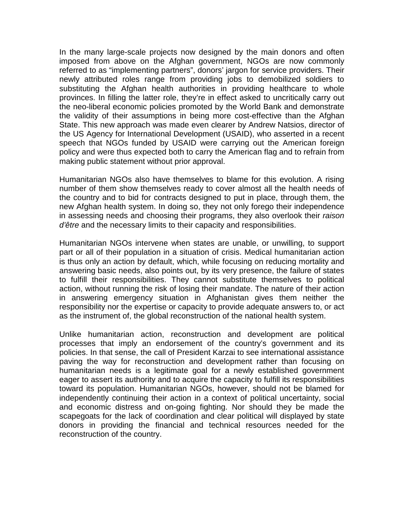In the many large-scale projects now designed by the main donors and often imposed from above on the Afghan government, NGOs are now commonly referred to as "implementing partners", donors' jargon for service providers. Their newly attributed roles range from providing jobs to demobilized soldiers to substituting the Afghan health authorities in providing healthcare to whole provinces. In filling the latter role, they're in effect asked to uncritically carry out the neo-liberal economic policies promoted by the World Bank and demonstrate the validity of their assumptions in being more cost-effective than the Afghan State. This new approach was made even clearer by Andrew Natsios, director of the US Agency for International Development (USAID), who asserted in a recent speech that NGOs funded by USAID were carrying out the American foreign policy and were thus expected both to carry the American flag and to refrain from making public statement without prior approval.

Humanitarian NGOs also have themselves to blame for this evolution. A rising number of them show themselves ready to cover almost all the health needs of the country and to bid for contracts designed to put in place, through them, the new Afghan health system. In doing so, they not only forego their independence in assessing needs and choosing their programs, they also overlook their *raison d'être* and the necessary limits to their capacity and responsibilities.

Humanitarian NGOs intervene when states are unable, or unwilling, to support part or all of their population in a situation of crisis. Medical humanitarian action is thus only an action by default, which, while focusing on reducing mortality and answering basic needs, also points out, by its very presence, the failure of states to fulfill their responsibilities. They cannot substitute themselves to political action, without running the risk of losing their mandate. The nature of their action in answering emergency situation in Afghanistan gives them neither the responsibility nor the expertise or capacity to provide adequate answers to, or act as the instrument of, the global reconstruction of the national health system.

Unlike humanitarian action, reconstruction and development are political processes that imply an endorsement of the country's government and its policies. In that sense, the call of President Karzai to see international assistance paving the way for reconstruction and development rather than focusing on humanitarian needs is a legitimate goal for a newly established government eager to assert its authority and to acquire the capacity to fulfill its responsibilities toward its population. Humanitarian NGOs, however, should not be blamed for independently continuing their action in a context of political uncertainty, social and economic distress and on-going fighting. Nor should they be made the scapegoats for the lack of coordination and clear political will displayed by state donors in providing the financial and technical resources needed for the reconstruction of the country.